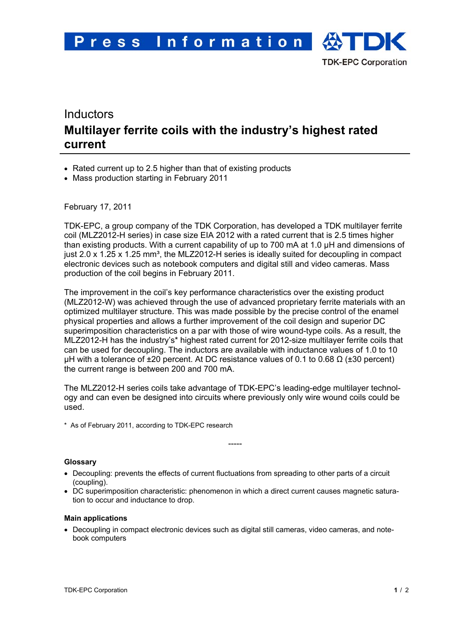# Inductors **Multilayer ferrite coils with the industry's highest rated current**

- Rated current up to 2.5 higher than that of existing products
- Mass production starting in February 2011

February 17, 2011

TDK-EPC, a group company of the TDK Corporation, has developed a TDK multilayer ferrite coil (MLZ2012-H series) in case size EIA 2012 with a rated current that is 2.5 times higher than existing products. With a current capability of up to 700 mA at 1.0 μH and dimensions of just 2.0 x 1.25 x 1.25 mm<sup>3</sup>, the MLZ2012-H series is ideally suited for decoupling in compact electronic devices such as notebook computers and digital still and video cameras. Mass production of the coil begins in February 2011.

The improvement in the coil's key performance characteristics over the existing product (MLZ2012-W) was achieved through the use of advanced proprietary ferrite materials with an optimized multilayer structure. This was made possible by the precise control of the enamel physical properties and allows a further improvement of the coil design and superior DC superimposition characteristics on a par with those of wire wound-type coils. As a result, the MLZ2012-H has the industry's\* highest rated current for 2012-size multilayer ferrite coils that can be used for decoupling. The inductors are available with inductance values of 1.0 to 10 µH with a tolerance of  $\pm 20$  percent. At DC resistance values of 0.1 to 0.68 Ω ( $\pm 30$  percent) the current range is between 200 and 700 mA.

The MLZ2012-H series coils take advantage of TDK-EPC's leading-edge multilayer technology and can even be designed into circuits where previously only wire wound coils could be used.

-----

\* As of February 2011, according to TDK-EPC research

### **Glossary**

- Decoupling: prevents the effects of current fluctuations from spreading to other parts of a circuit (coupling).
- DC superimposition characteristic: phenomenon in which a direct current causes magnetic saturation to occur and inductance to drop.

#### **Main applications**

• Decoupling in compact electronic devices such as digital still cameras, video cameras, and notebook computers

**TDK-EPC Corporation**